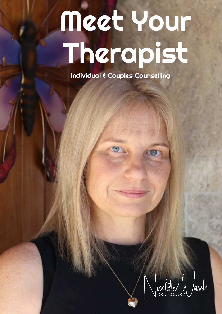# Meet Your Therapist

Individual & Couples Counselling

Winstelle Jard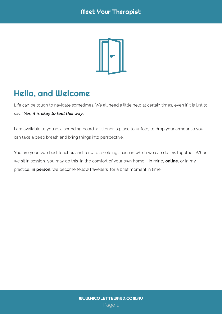

# Hello, and Welcome

Life can be tough to navigate sometimes. We all need a little help at certain times, even if it is just to say: "Yes, it is okay to feel this way".

I am available to you as a sounding board, a listener, a place to unfold, to drop your armour so you can take a deep breath and bring things into perspective.

You are your own best teacher, and I create a holding space in which we can do this together. When we sit in session, you may do this in the comfort of your own home. I in mine, online, or in my practice, **in person**, we become fellow travellers, for a brief moment in time.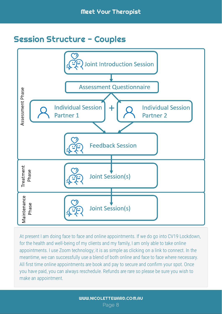#### Session Structure - Couples



At present I am doing face to face and online appointments. If we do go into CV19 Lockdown, for the health and well-being of my clients and my family, I am only able to take online appointments. I use Zoom technology; it is as simple as clicking on a link to connect. In the meantime, we can successfully use a blend of both online and face to face where necessary. All first time online appointments are book and pay to secure and confirm your spot. Once you have paid, you can always reschedule. Refunds are rare so please be sure you wish to make an appointment.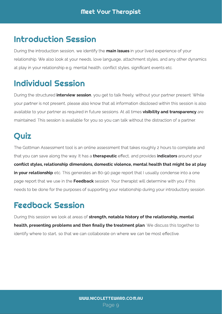## Introduction Session

During the introduction session, we identify the in your lived experience of your relationship. We also look at your needs, love language, attachment styles, and any other dynamics at play in your relationship e.g. mental health, conict styles, signicant events etc. main issues

#### Individual Session

During the structured , you get to talk freely, without your partner present. While your partner is not present, please also know that all information disclosed within this session is also available to your partner as required in future sessions. At all times are  $\frac{1}{2}$  and at all  $\frac{1}{2}$  and maintained. This session is available for you so you can talk without the distraction of a partner. interview session visibility and transparency

## **Quiz**

The Gottman Assessment tool is an online assessment that takes roughly 2 hours to complete and  $t_{\rm eff}$  you can save along the way. It has a extrapolation  $\epsilon$  and provides around  $\epsilon$  and  $\epsilon$ etc. This generates an 80-90 page report that I usually condense into a one page report that we use in the session. Your therapist will determine with you if this needs to be done for the purposes of supporting your relationship during your introductory session. therapeutic effect, and provides indicators conflict styles, relationship dimensions, domestic violence, mental health that might be at play in your relationship Feedback

#### Feedback Session

During this session we look at areas of . We discuss the together to identify where to start, so that we can collaborate on where we can be most effective. strength, notable history of the relationship, mental health, presenting problems and then finally the treatment plan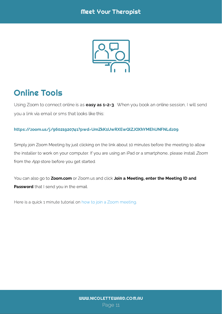

## Online Tools

Using Zoom to connect online is as **easy as 1-2-3**. When you book an online session, I will send you a link via email or sms that looks like this:

#### https://zoom.us/j/96021920741?pwd=UmZkK1UwRXEwQlZJOXhYMEhUNFNLdz09

Simply join Zoom Meeting by just clicking on the link about 10 minutes before the meeting to allow the installer to work on your computer. If you are using an iPad or a smartphone, please install *Zoom*<br>. from the *App* store before you get started.<br>-

You can also go to or Zoom.us and click that I send you in the email. **Zoom.com** or Zoom.us and click **Join a Meeting, enter the Meeting ID and** Password

Here is a quick 1 minute tutorial on how to join a Zoom meeting[.](https://www.youtube.com/embed/hIkCmbvAHQQ?rel=0&autoplay=1&cc_load_policy=1)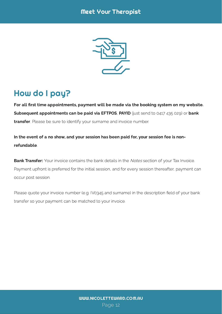#### Meet Your Therapist



# How do I pay?

,  $\frac{1}{2}$  ,  $\frac{1}{2}$  ,  $\frac{1}{2}$   $\frac{1}{2}$   $\frac{1}{2}$   $\frac{1}{2}$   $\frac{1}{2}$   $\frac{1}{2}$   $\frac{1}{2}$   $\frac{1}{2}$   $\frac{1}{2}$   $\frac{1}{2}$   $\frac{1}{2}$   $\frac{1}{2}$   $\frac{1}{2}$   $\frac{1}{2}$   $\frac{1}{2}$   $\frac{1}{2}$   $\frac{1}{2}$   $\frac{1}{2}$   $\frac{1}{2}$   $\frac{1$ . Please be sure to identify your surname and invoice number. transfer For all first time appointments, payment will be made via the booking system on my website.

In the event of a no show, and your session has been paid  $f(x)$  your session fee is non-

**Bank Transfer:** Your invoice contains the bank details in the *Notes* section of your Tax Invoice.<br> Payment upfront is preferred for the initial session, and for every session thereafter, payment can occur post session.

Please quote your invoice number (e.g. IV0345 and surname) in the description field of your bank transfer so your payment can be matched to your invoice.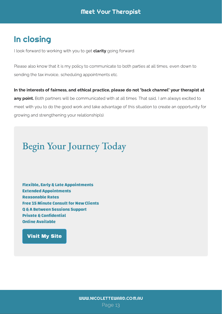### In closing

I look forward to working with you to get **clarity** going forward.

Please also know that it is my policy to communicate to both parties at all times, even down to sending the tax invoice, scheduling appointments etc.

any point. Both partners will be communicated with at all times. That said, I am always excited to meet with you to do the good work and take advantage of this situation to create an opportunity for growing and strengthening your relationship(s). In the interests of fairness, and ethical practice, please do not 'back channel' your therapist at

# Begin Your Journey Today

Flexible, Early & Late Appointments Extended Appointments Reasonable Rates Free 15 Minute Consult for New Clients Q & A Between Sessions Support **Private & Confidential** Online Available

#### [Visit My Site](https://www.nicoletteward.com.au/)

Page 13 [WWW.NICOLETTEWARD.COM.AU](http://www.nicoletteward.com/meet-your-therapist.html)